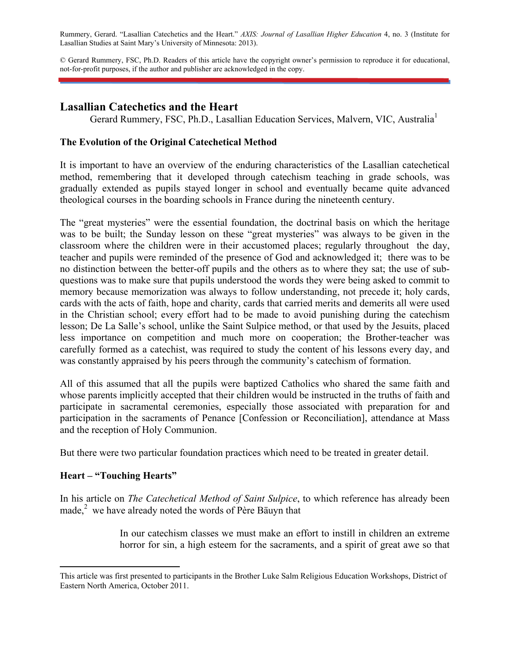Rummery, Gerard. "Lasallian Catechetics and the Heart." *AXIS: Journal of Lasallian Higher Education* 4, no. 3 (Institute for Lasallian Studies at Saint Mary's University of Minnesota: 2013).

© Gerard Rummery, FSC, Ph.D. Readers of this article have the copyright owner's permission to reproduce it for educational, not-for-profit purposes, if the author and publisher are acknowledged in the copy.

## **Lasallian Catechetics and the Heart**

Gerard Rummery, FSC, Ph.D., Lasallian Education Services, Malvern, VIC, Australia<sup>1</sup>

## **The Evolution of the Original Catechetical Method**

It is important to have an overview of the enduring characteristics of the Lasallian catechetical method, remembering that it developed through catechism teaching in grade schools, was gradually extended as pupils stayed longer in school and eventually became quite advanced theological courses in the boarding schools in France during the nineteenth century.

The "great mysteries" were the essential foundation, the doctrinal basis on which the heritage was to be built; the Sunday lesson on these "great mysteries" was always to be given in the classroom where the children were in their accustomed places; regularly throughout the day, teacher and pupils were reminded of the presence of God and acknowledged it; there was to be no distinction between the better-off pupils and the others as to where they sat; the use of subquestions was to make sure that pupils understood the words they were being asked to commit to memory because memorization was always to follow understanding, not precede it; holy cards, cards with the acts of faith, hope and charity, cards that carried merits and demerits all were used in the Christian school; every effort had to be made to avoid punishing during the catechism lesson; De La Salle's school, unlike the Saint Sulpice method, or that used by the Jesuits, placed less importance on competition and much more on cooperation; the Brother-teacher was carefully formed as a catechist, was required to study the content of his lessons every day, and was constantly appraised by his peers through the community's catechism of formation.

All of this assumed that all the pupils were baptized Catholics who shared the same faith and whose parents implicitly accepted that their children would be instructed in the truths of faith and participate in sacramental ceremonies, especially those associated with preparation for and participation in the sacraments of Penance [Confession or Reconciliation], attendance at Mass and the reception of Holy Communion.

But there were two particular foundation practices which need to be treated in greater detail.

#### **Heart – "Touching Hearts"**

In his article on *The Catechetical Method of Saint Sulpice*, to which reference has already been made, $^{2}$  we have already noted the words of Père Bäuyn that

> In our catechism classes we must make an effort to instill in children an extreme horror for sin, a high esteem for the sacraments, and a spirit of great awe so that

This article was first presented to participants in the Brother Luke Salm Religious Education Workshops, District of Eastern North America, October 2011.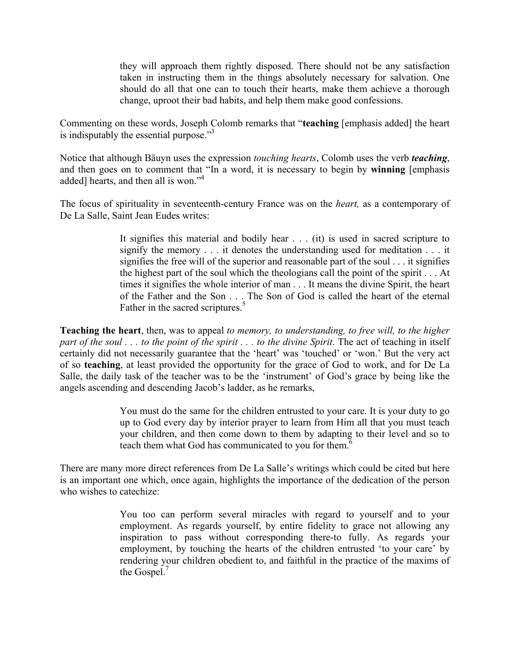they will approach them rightly disposed. There should not be any satisfaction taken in instructing them in the things absolutely necessary for salvation. One should do all that one can to touch their hearts, make them achieve a thorough change, uproot their bad habits, and help them make good confessions.

Commenting on these words, Joseph Colomb remarks that "**teaching** [emphasis added] the heart is indisputably the essential purpose. $13$ 

Notice that although Bäuyn uses the expression *touching hearts*, Colomb uses the verb *teaching*, and then goes on to comment that "In a word, it is necessary to begin by **winning** [emphasis added] hearts, and then all is won."<sup>4</sup>

The focus of spirituality in seventeenth-century France was on the *heart,* as a contemporary of De La Salle, Saint Jean Eudes writes:

> It signifies this material and bodily hear . . . (it) is used in sacred scripture to signify the memory . . . it denotes the understanding used for meditation . . . it signifies the free will of the superior and reasonable part of the soul . . . it signifies the highest part of the soul which the theologians call the point of the spirit . . . At times it signifies the whole interior of man . . . It means the divine Spirit, the heart of the Father and the Son . . . The Son of God is called the heart of the eternal Father in the sacred scriptures.<sup>5</sup>

**Teaching the heart**, then, was to appeal *to memory, to understanding, to free will, to the higher part of the soul* . . . *to the point of the spirit . . . to the divine Spirit.* The act of teaching in itself certainly did not necessarily guarantee that the 'heart' was 'touched' or 'won.' But the very act of so **teaching**, at least provided the opportunity for the grace of God to work, and for De La Salle, the daily task of the teacher was to be the 'instrument' of God's grace by being like the angels ascending and descending Jacob's ladder, as he remarks,

> You must do the same for the children entrusted to your care. It is your duty to go up to God every day by interior prayer to learn from Him all that you must teach your children, and then come down to them by adapting to their level and so to teach them what God has communicated to you for them.<sup> $6$ </sup>

There are many more direct references from De La Salle's writings which could be cited but here is an important one which, once again, highlights the importance of the dedication of the person who wishes to catechize:

> You too can perform several miracles with regard to yourself and to your employment. As regards yourself, by entire fidelity to grace not allowing any inspiration to pass without corresponding there-to fully. As regards your employment, by touching the hearts of the children entrusted 'to your care' by rendering your children obedient to, and faithful in the practice of the maxims of the Gospel.<sup>7</sup>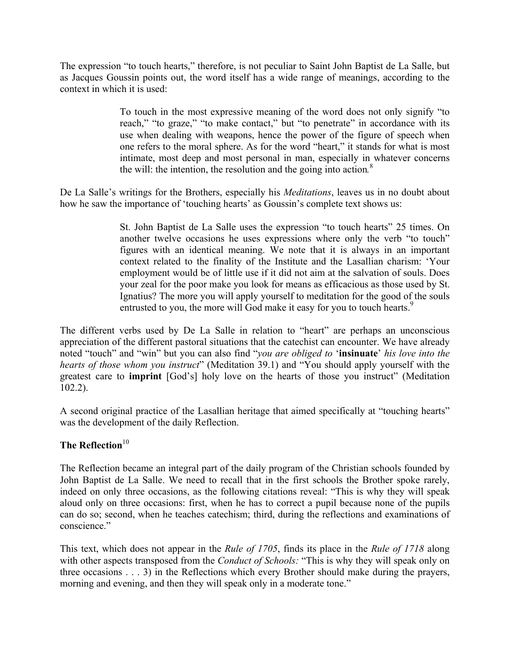The expression "to touch hearts," therefore, is not peculiar to Saint John Baptist de La Salle, but as Jacques Goussin points out, the word itself has a wide range of meanings, according to the context in which it is used:

> To touch in the most expressive meaning of the word does not only signify "to reach," "to graze," "to make contact," but "to penetrate" in accordance with its use when dealing with weapons, hence the power of the figure of speech when one refers to the moral sphere. As for the word "heart," it stands for what is most intimate, most deep and most personal in man, especially in whatever concerns the will: the intention, the resolution and the going into action*.* 8

De La Salle's writings for the Brothers, especially his *Meditations*, leaves us in no doubt about how he saw the importance of 'touching hearts' as Goussin's complete text shows us:

> St. John Baptist de La Salle uses the expression "to touch hearts" 25 times. On another twelve occasions he uses expressions where only the verb "to touch" figures with an identical meaning. We note that it is always in an important context related to the finality of the Institute and the Lasallian charism: 'Your employment would be of little use if it did not aim at the salvation of souls. Does your zeal for the poor make you look for means as efficacious as those used by St. Ignatius? The more you will apply yourself to meditation for the good of the souls entrusted to you, the more will God make it easy for you to touch hearts.<sup>9</sup>

The different verbs used by De La Salle in relation to "heart" are perhaps an unconscious appreciation of the different pastoral situations that the catechist can encounter. We have already noted "touch" and "win" but you can also find "*you are obliged to* '**insinuate**' *his love into the hearts of those whom you instruct*" (Meditation 39.1) and "You should apply yourself with the greatest care to **imprint** [God's] holy love on the hearts of those you instruct" (Meditation 102.2).

A second original practice of the Lasallian heritage that aimed specifically at "touching hearts" was the development of the daily Reflection.

# **The Reflection**<sup>10</sup>

The Reflection became an integral part of the daily program of the Christian schools founded by John Baptist de La Salle. We need to recall that in the first schools the Brother spoke rarely, indeed on only three occasions, as the following citations reveal: "This is why they will speak aloud only on three occasions: first, when he has to correct a pupil because none of the pupils can do so; second, when he teaches catechism; third, during the reflections and examinations of conscience."

This text, which does not appear in the *Rule of 1705*, finds its place in the *Rule of 1718* along with other aspects transposed from the *Conduct of Schools:* "This is why they will speak only on three occasions . . . 3) in the Reflections which every Brother should make during the prayers, morning and evening, and then they will speak only in a moderate tone."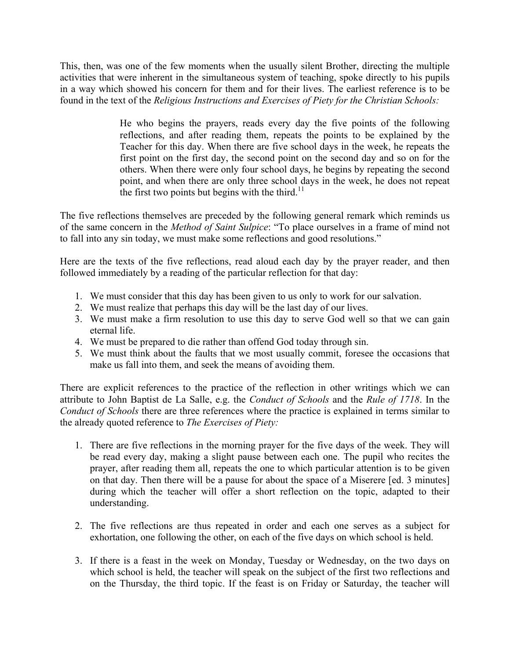This, then, was one of the few moments when the usually silent Brother, directing the multiple activities that were inherent in the simultaneous system of teaching, spoke directly to his pupils in a way which showed his concern for them and for their lives. The earliest reference is to be found in the text of the *Religious Instructions and Exercises of Piety for the Christian Schools:* 

> He who begins the prayers, reads every day the five points of the following reflections, and after reading them, repeats the points to be explained by the Teacher for this day. When there are five school days in the week, he repeats the first point on the first day, the second point on the second day and so on for the others. When there were only four school days, he begins by repeating the second point, and when there are only three school days in the week, he does not repeat the first two points but begins with the third.<sup>11</sup>

The five reflections themselves are preceded by the following general remark which reminds us of the same concern in the *Method of Saint Sulpice*: "To place ourselves in a frame of mind not to fall into any sin today, we must make some reflections and good resolutions."

Here are the texts of the five reflections, read aloud each day by the prayer reader, and then followed immediately by a reading of the particular reflection for that day:

- 1. We must consider that this day has been given to us only to work for our salvation.
- 2. We must realize that perhaps this day will be the last day of our lives.
- 3. We must make a firm resolution to use this day to serve God well so that we can gain eternal life.
- 4. We must be prepared to die rather than offend God today through sin.
- 5. We must think about the faults that we most usually commit, foresee the occasions that make us fall into them, and seek the means of avoiding them.

There are explicit references to the practice of the reflection in other writings which we can attribute to John Baptist de La Salle, e.g. the *Conduct of Schools* and the *Rule of 1718*. In the *Conduct of Schools* there are three references where the practice is explained in terms similar to the already quoted reference to *The Exercises of Piety:* 

- 1. There are five reflections in the morning prayer for the five days of the week. They will be read every day, making a slight pause between each one. The pupil who recites the prayer, after reading them all, repeats the one to which particular attention is to be given on that day. Then there will be a pause for about the space of a Miserere [ed. 3 minutes] during which the teacher will offer a short reflection on the topic, adapted to their understanding.
- 2. The five reflections are thus repeated in order and each one serves as a subject for exhortation, one following the other, on each of the five days on which school is held.
- 3. If there is a feast in the week on Monday, Tuesday or Wednesday, on the two days on which school is held, the teacher will speak on the subject of the first two reflections and on the Thursday, the third topic. If the feast is on Friday or Saturday, the teacher will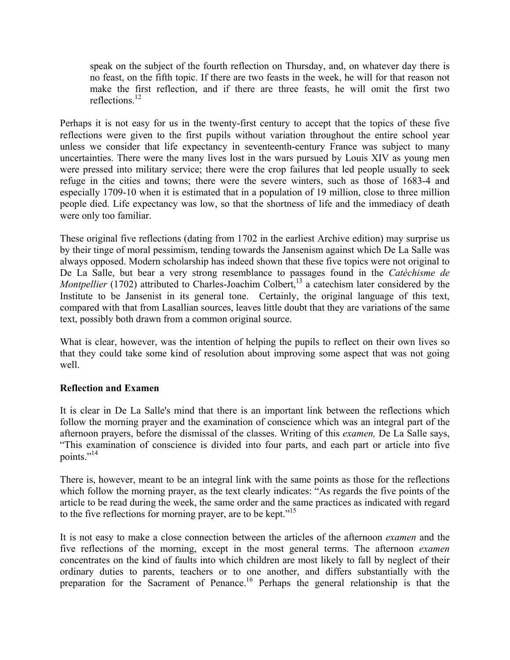speak on the subject of the fourth reflection on Thursday, and, on whatever day there is no feast, on the fifth topic. If there are two feasts in the week, he will for that reason not make the first reflection, and if there are three feasts, he will omit the first two reflections. $^{12}$ 

Perhaps it is not easy for us in the twenty-first century to accept that the topics of these five reflections were given to the first pupils without variation throughout the entire school year unless we consider that life expectancy in seventeenth-century France was subject to many uncertainties. There were the many lives lost in the wars pursued by Louis XIV as young men were pressed into military service; there were the crop failures that led people usually to seek refuge in the cities and towns; there were the severe winters, such as those of 1683-4 and especially 1709-10 when it is estimated that in a population of 19 million, close to three million people died. Life expectancy was low, so that the shortness of life and the immediacy of death were only too familiar.

These original five reflections (dating from 1702 in the earliest Archive edition) may surprise us by their tinge of moral pessimism, tending towards the Jansenism against which De La Salle was always opposed. Modern scholarship has indeed shown that these five topics were not original to De La Salle, but bear a very strong resemblance to passages found in the *Catéchisme de Montpellier* (1702) attributed to Charles-Joachim Colbert,<sup>13</sup> a catechism later considered by the Institute to be Jansenist in its general tone. Certainly, the original language of this text, compared with that from Lasallian sources, leaves little doubt that they are variations of the same text, possibly both drawn from a common original source.

What is clear, however, was the intention of helping the pupils to reflect on their own lives so that they could take some kind of resolution about improving some aspect that was not going well.

#### **Reflection and Examen**

It is clear in De La Salle's mind that there is an important link between the reflections which follow the morning prayer and the examination of conscience which was an integral part of the afternoon prayers, before the dismissal of the classes. Writing of this *examen,* De La Salle says, "This examination of conscience is divided into four parts, and each part or article into five points."<sup>14</sup>

There is, however, meant to be an integral link with the same points as those for the reflections which follow the morning prayer, as the text clearly indicates: "As regards the five points of the article to be read during the week, the same order and the same practices as indicated with regard to the five reflections for morning prayer, are to be kept."<sup>15</sup>

It is not easy to make a close connection between the articles of the afternoon *examen* and the five reflections of the morning, except in the most general terms. The afternoon *examen* concentrates on the kind of faults into which children are most likely to fall by neglect of their ordinary duties to parents, teachers or to one another, and differs substantially with the preparation for the Sacrament of Penance.16 Perhaps the general relationship is that the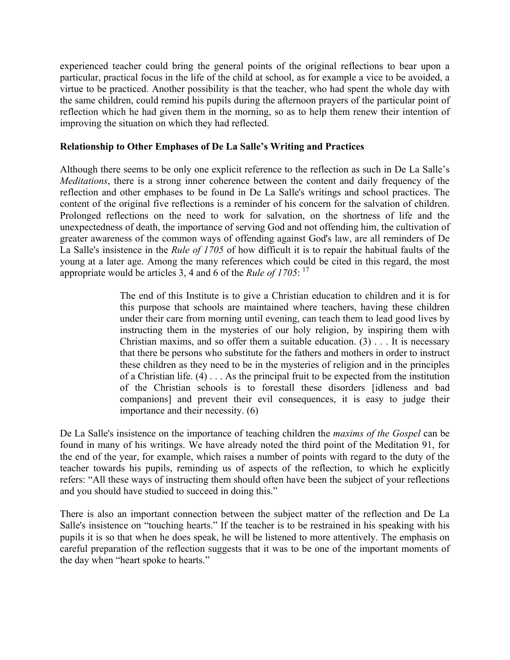experienced teacher could bring the general points of the original reflections to bear upon a particular, practical focus in the life of the child at school, as for example a vice to be avoided, a virtue to be practiced. Another possibility is that the teacher, who had spent the whole day with the same children, could remind his pupils during the afternoon prayers of the particular point of reflection which he had given them in the morning, so as to help them renew their intention of improving the situation on which they had reflected.

## **Relationship to Other Emphases of De La Salle's Writing and Practices**

Although there seems to be only one explicit reference to the reflection as such in De La Salle's *Meditations*, there is a strong inner coherence between the content and daily frequency of the reflection and other emphases to be found in De La Salle's writings and school practices. The content of the original five reflections is a reminder of his concern for the salvation of children. Prolonged reflections on the need to work for salvation, on the shortness of life and the unexpectedness of death, the importance of serving God and not offending him, the cultivation of greater awareness of the common ways of offending against God's law, are all reminders of De La Salle's insistence in the *Rule of 1705* of how difficult it is to repair the habitual faults of the young at a later age. Among the many references which could be cited in this regard, the most appropriate would be articles 3, 4 and 6 of the *Rule of 1705*: 17

> The end of this Institute is to give a Christian education to children and it is for this purpose that schools are maintained where teachers, having these children under their care from morning until evening, can teach them to lead good lives by instructing them in the mysteries of our holy religion, by inspiring them with Christian maxims, and so offer them a suitable education.  $(3)$ ... It is necessary that there be persons who substitute for the fathers and mothers in order to instruct these children as they need to be in the mysteries of religion and in the principles of a Christian life. (4) . . . As the principal fruit to be expected from the institution of the Christian schools is to forestall these disorders [idleness and bad companions] and prevent their evil consequences, it is easy to judge their importance and their necessity. (6)

De La Salle's insistence on the importance of teaching children the *maxims of the Gospel* can be found in many of his writings. We have already noted the third point of the Meditation 91, for the end of the year, for example, which raises a number of points with regard to the duty of the teacher towards his pupils, reminding us of aspects of the reflection, to which he explicitly refers: "All these ways of instructing them should often have been the subject of your reflections and you should have studied to succeed in doing this."

There is also an important connection between the subject matter of the reflection and De La Salle's insistence on "touching hearts." If the teacher is to be restrained in his speaking with his pupils it is so that when he does speak, he will be listened to more attentively. The emphasis on careful preparation of the reflection suggests that it was to be one of the important moments of the day when "heart spoke to hearts."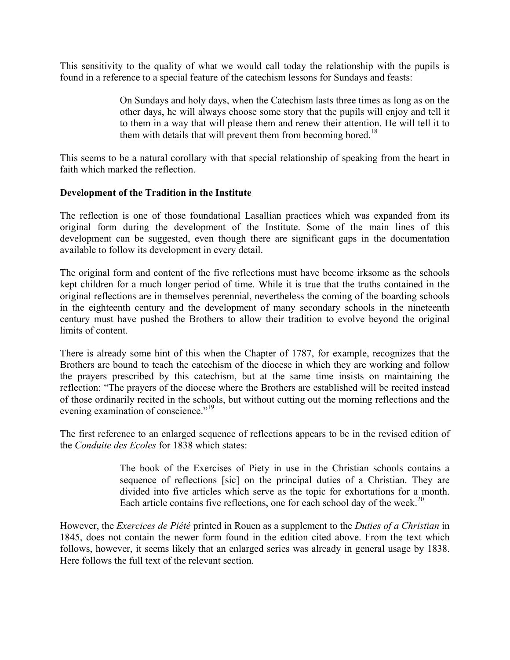This sensitivity to the quality of what we would call today the relationship with the pupils is found in a reference to a special feature of the catechism lessons for Sundays and feasts:

> On Sundays and holy days, when the Catechism lasts three times as long as on the other days, he will always choose some story that the pupils will enjoy and tell it to them in a way that will please them and renew their attention. He will tell it to them with details that will prevent them from becoming bored.<sup>18</sup>

This seems to be a natural corollary with that special relationship of speaking from the heart in faith which marked the reflection.

#### **Development of the Tradition in the Institute**

The reflection is one of those foundational Lasallian practices which was expanded from its original form during the development of the Institute. Some of the main lines of this development can be suggested, even though there are significant gaps in the documentation available to follow its development in every detail.

The original form and content of the five reflections must have become irksome as the schools kept children for a much longer period of time. While it is true that the truths contained in the original reflections are in themselves perennial, nevertheless the coming of the boarding schools in the eighteenth century and the development of many secondary schools in the nineteenth century must have pushed the Brothers to allow their tradition to evolve beyond the original limits of content.

There is already some hint of this when the Chapter of 1787, for example, recognizes that the Brothers are bound to teach the catechism of the diocese in which they are working and follow the prayers prescribed by this catechism, but at the same time insists on maintaining the reflection: "The prayers of the diocese where the Brothers are established will be recited instead of those ordinarily recited in the schools, but without cutting out the morning reflections and the evening examination of conscience."<sup>19</sup>

The first reference to an enlarged sequence of reflections appears to be in the revised edition of the *Conduite des Ecoles* for 1838 which states:

> The book of the Exercises of Piety in use in the Christian schools contains a sequence of reflections [sic] on the principal duties of a Christian. They are divided into five articles which serve as the topic for exhortations for a month. Each article contains five reflections, one for each school day of the week.<sup>20</sup>

However, the *Exercices de Piété* printed in Rouen as a supplement to the *Duties of a Christian* in 1845, does not contain the newer form found in the edition cited above. From the text which follows, however, it seems likely that an enlarged series was already in general usage by 1838. Here follows the full text of the relevant section.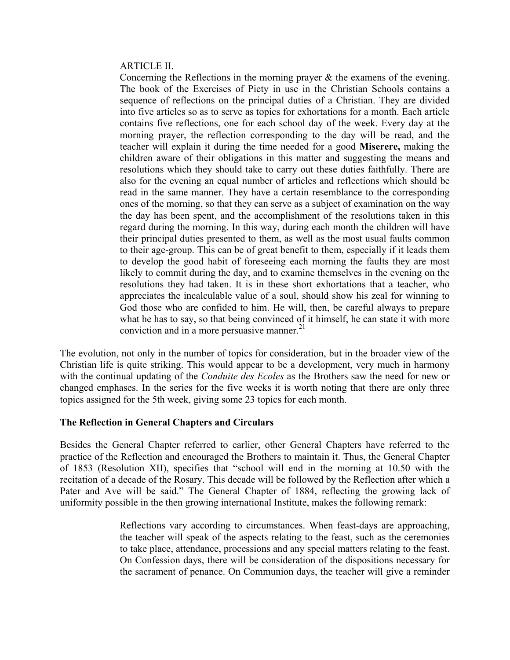#### ARTICLE II.

Concerning the Reflections in the morning prayer & the examens of the evening. The book of the Exercises of Piety in use in the Christian Schools contains a sequence of reflections on the principal duties of a Christian. They are divided into five articles so as to serve as topics for exhortations for a month. Each article contains five reflections, one for each school day of the week. Every day at the morning prayer, the reflection corresponding to the day will be read, and the teacher will explain it during the time needed for a good **Miserere,** making the children aware of their obligations in this matter and suggesting the means and resolutions which they should take to carry out these duties faithfully. There are also for the evening an equal number of articles and reflections which should be read in the same manner. They have a certain resemblance to the corresponding ones of the morning, so that they can serve as a subject of examination on the way the day has been spent, and the accomplishment of the resolutions taken in this regard during the morning. In this way, during each month the children will have their principal duties presented to them, as well as the most usual faults common to their age-group. This can be of great benefit to them, especially if it leads them to develop the good habit of foreseeing each morning the faults they are most likely to commit during the day, and to examine themselves in the evening on the resolutions they had taken. It is in these short exhortations that a teacher, who appreciates the incalculable value of a soul, should show his zeal for winning to God those who are confided to him. He will, then, be careful always to prepare what he has to say, so that being convinced of it himself, he can state it with more conviction and in a more persuasive manner.<sup>21</sup>

The evolution, not only in the number of topics for consideration, but in the broader view of the Christian life is quite striking. This would appear to be a development, very much in harmony with the continual updating of the *Conduite des Ecoles* as the Brothers saw the need for new or changed emphases. In the series for the five weeks it is worth noting that there are only three topics assigned for the 5th week, giving some 23 topics for each month.

#### **The Reflection in General Chapters and Circulars**

Besides the General Chapter referred to earlier, other General Chapters have referred to the practice of the Reflection and encouraged the Brothers to maintain it. Thus, the General Chapter of 1853 (Resolution XII), specifies that "school will end in the morning at 10.50 with the recitation of a decade of the Rosary. This decade will be followed by the Reflection after which a Pater and Ave will be said." The General Chapter of 1884, reflecting the growing lack of uniformity possible in the then growing international Institute, makes the following remark:

> Reflections vary according to circumstances. When feast-days are approaching, the teacher will speak of the aspects relating to the feast, such as the ceremonies to take place, attendance, processions and any special matters relating to the feast. On Confession days, there will be consideration of the dispositions necessary for the sacrament of penance. On Communion days, the teacher will give a reminder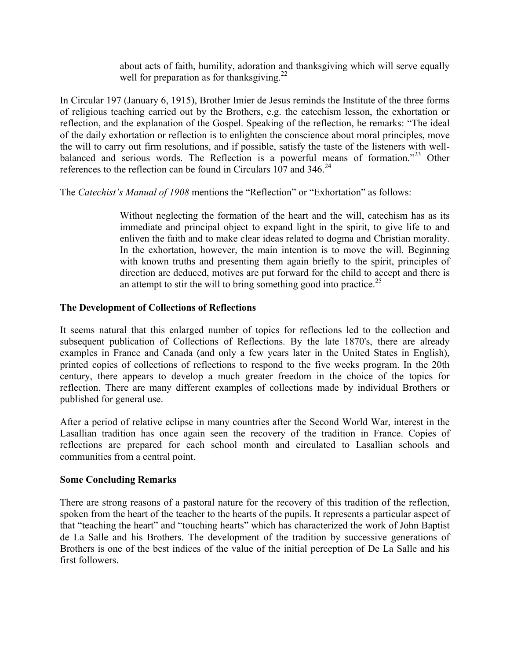about acts of faith, humility, adoration and thanksgiving which will serve equally well for preparation as for thanksgiving.<sup>22</sup>

In Circular 197 (January 6, 1915), Brother Imier de Jesus reminds the Institute of the three forms of religious teaching carried out by the Brothers, e.g. the catechism lesson, the exhortation or reflection, and the explanation of the Gospel. Speaking of the reflection, he remarks: "The ideal of the daily exhortation or reflection is to enlighten the conscience about moral principles, move the will to carry out firm resolutions, and if possible, satisfy the taste of the listeners with wellbalanced and serious words. The Reflection is a powerful means of formation."<sup>23</sup> Other references to the reflection can be found in Circulars 107 and  $346.24$ 

The *Catechist's Manual of 1908* mentions the "Reflection" or "Exhortation" as follows:

Without neglecting the formation of the heart and the will, catechism has as its immediate and principal object to expand light in the spirit, to give life to and enliven the faith and to make clear ideas related to dogma and Christian morality. In the exhortation, however, the main intention is to move the will. Beginning with known truths and presenting them again briefly to the spirit, principles of direction are deduced, motives are put forward for the child to accept and there is an attempt to stir the will to bring something good into practice.<sup>25</sup>

## **The Development of Collections of Reflections**

It seems natural that this enlarged number of topics for reflections led to the collection and subsequent publication of Collections of Reflections. By the late 1870's, there are already examples in France and Canada (and only a few years later in the United States in English), printed copies of collections of reflections to respond to the five weeks program. In the 20th century, there appears to develop a much greater freedom in the choice of the topics for reflection. There are many different examples of collections made by individual Brothers or published for general use.

After a period of relative eclipse in many countries after the Second World War, interest in the Lasallian tradition has once again seen the recovery of the tradition in France. Copies of reflections are prepared for each school month and circulated to Lasallian schools and communities from a central point.

## **Some Concluding Remarks**

There are strong reasons of a pastoral nature for the recovery of this tradition of the reflection, spoken from the heart of the teacher to the hearts of the pupils. It represents a particular aspect of that "teaching the heart" and "touching hearts" which has characterized the work of John Baptist de La Salle and his Brothers. The development of the tradition by successive generations of Brothers is one of the best indices of the value of the initial perception of De La Salle and his first followers.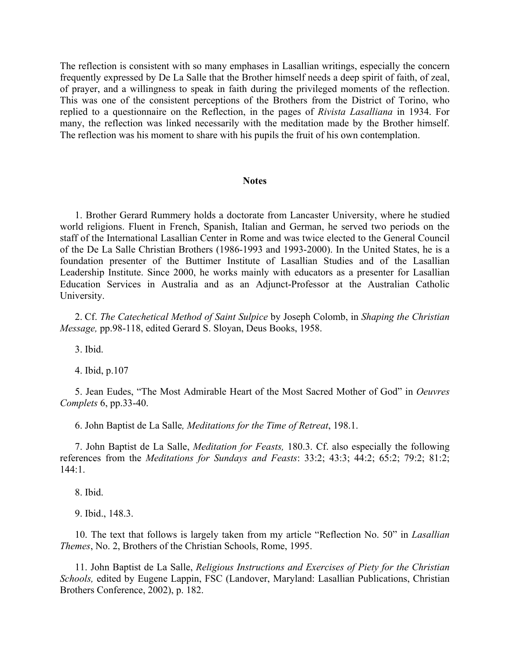The reflection is consistent with so many emphases in Lasallian writings, especially the concern frequently expressed by De La Salle that the Brother himself needs a deep spirit of faith, of zeal, of prayer, and a willingness to speak in faith during the privileged moments of the reflection. This was one of the consistent perceptions of the Brothers from the District of Torino, who replied to a questionnaire on the Reflection, in the pages of *Rivista Lasalliana* in 1934. For many, the reflection was linked necessarily with the meditation made by the Brother himself. The reflection was his moment to share with his pupils the fruit of his own contemplation.

#### **Notes**

1. Brother Gerard Rummery holds a doctorate from Lancaster University, where he studied world religions. Fluent in French, Spanish, Italian and German, he served two periods on the staff of the International Lasallian Center in Rome and was twice elected to the General Council of the De La Salle Christian Brothers (1986-1993 and 1993-2000). In the United States, he is a foundation presenter of the Buttimer Institute of Lasallian Studies and of the Lasallian Leadership Institute. Since 2000, he works mainly with educators as a presenter for Lasallian Education Services in Australia and as an Adjunct-Professor at the Australian Catholic University.

2. Cf. *The Catechetical Method of Saint Sulpice* by Joseph Colomb, in *Shaping the Christian Message,* pp.98-118, edited Gerard S. Sloyan, Deus Books, 1958.

3. Ibid.

4. Ibid, p.107

5. Jean Eudes, "The Most Admirable Heart of the Most Sacred Mother of God" in *Oeuvres Complets* 6, pp.33-40.

6. John Baptist de La Salle*, Meditations for the Time of Retreat*, 198.1.

7. John Baptist de La Salle, *Meditation for Feasts,* 180.3. Cf. also especially the following references from the *Meditations for Sundays and Feasts*: 33:2; 43:3; 44:2; 65:2; 79:2; 81:2; 144:1.

8. Ibid.

9. Ibid., 148.3.

10. The text that follows is largely taken from my article "Reflection No. 50" in *Lasallian Themes*, No. 2, Brothers of the Christian Schools, Rome, 1995.

11. John Baptist de La Salle, *Religious Instructions and Exercises of Piety for the Christian Schools,* edited by Eugene Lappin, FSC (Landover, Maryland: Lasallian Publications, Christian Brothers Conference, 2002), p. 182.